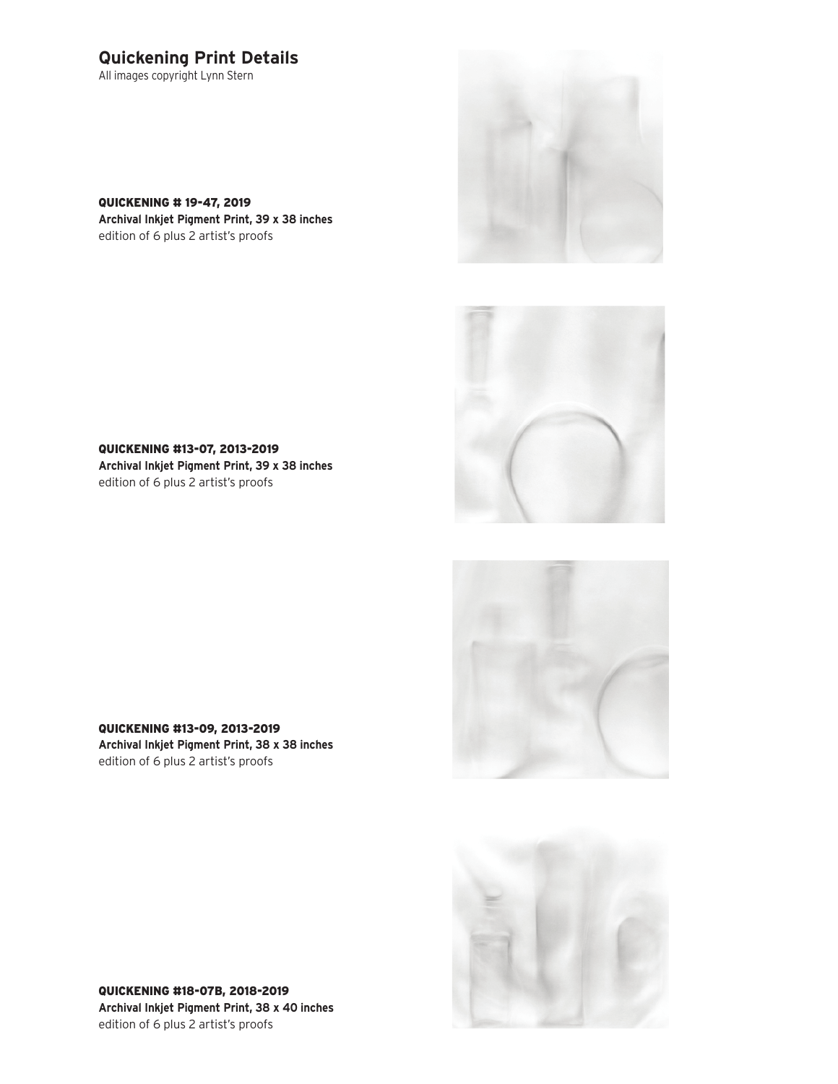## **Quickening Print Details**

All images copyright Lynn Stern

QUICKENING # 19-47, 2019 **Archival Inkjet Pigment Print, 39 x 38 inches** edition of 6 plus 2 artist's proofs





QUICKENING #13-07, 2013-2019 **Archival Inkjet Pigment Print, 39 x 38 inches** edition of 6 plus 2 artist's proofs





QUICKENING #13-09, 2013-2019 **Archival Inkjet Pigment Print, 38 x 38 inches** edition of 6 plus 2 artist's proofs

QUICKENING #18-07B, 2018-2019 **Archival Inkjet Pigment Print, 38 x 40 inches** edition of 6 plus 2 artist's proofs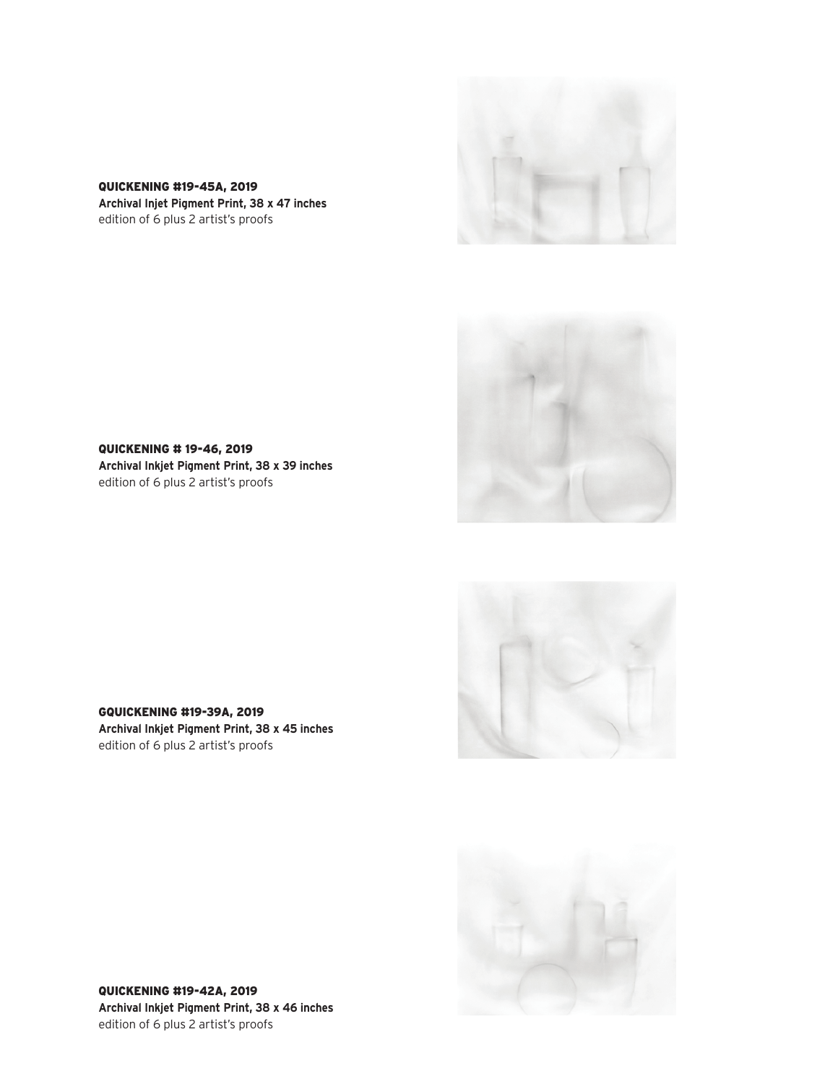

QUICKENING #19-45A, 2019 **Archival Injet Pigment Print, 38 x 47 inches** edition of 6 plus 2 artist's proofs



QUICKENING # 19-46, 2019 **Archival Inkjet Pigment Print, 38 x 39 inches** edition of 6 plus 2 artist's proofs





GQUICKENING #19-39A, 2019 **Archival Inkjet Pigment Print, 38 x 45 inches** edition of 6 plus 2 artist's proofs

QUICKENING #19-42A, 2019 **Archival Inkjet Pigment Print, 38 x 46 inches** edition of 6 plus 2 artist's proofs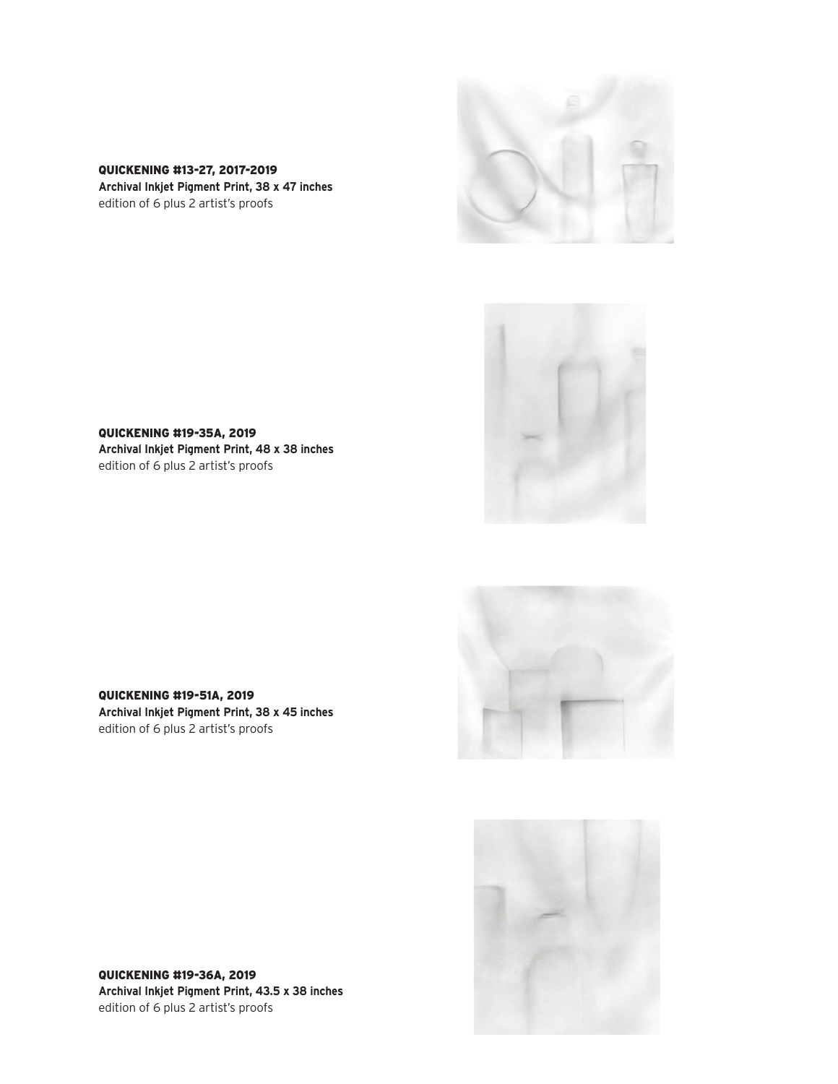





QUICKENING #19-35A, 2019 **Archival Inkjet Pigment Print, 48 x 38 inches** edition of 6 plus 2 artist's proofs





QUICKENING #19-51A, 2019 **Archival Inkjet Pigment Print, 38 x 45 inches** edition of 6 plus 2 artist's proofs

QUICKENING #19-36A, 2019 **Archival Inkjet Pigment Print, 43.5 x 38 inches** edition of 6 plus 2 artist's proofs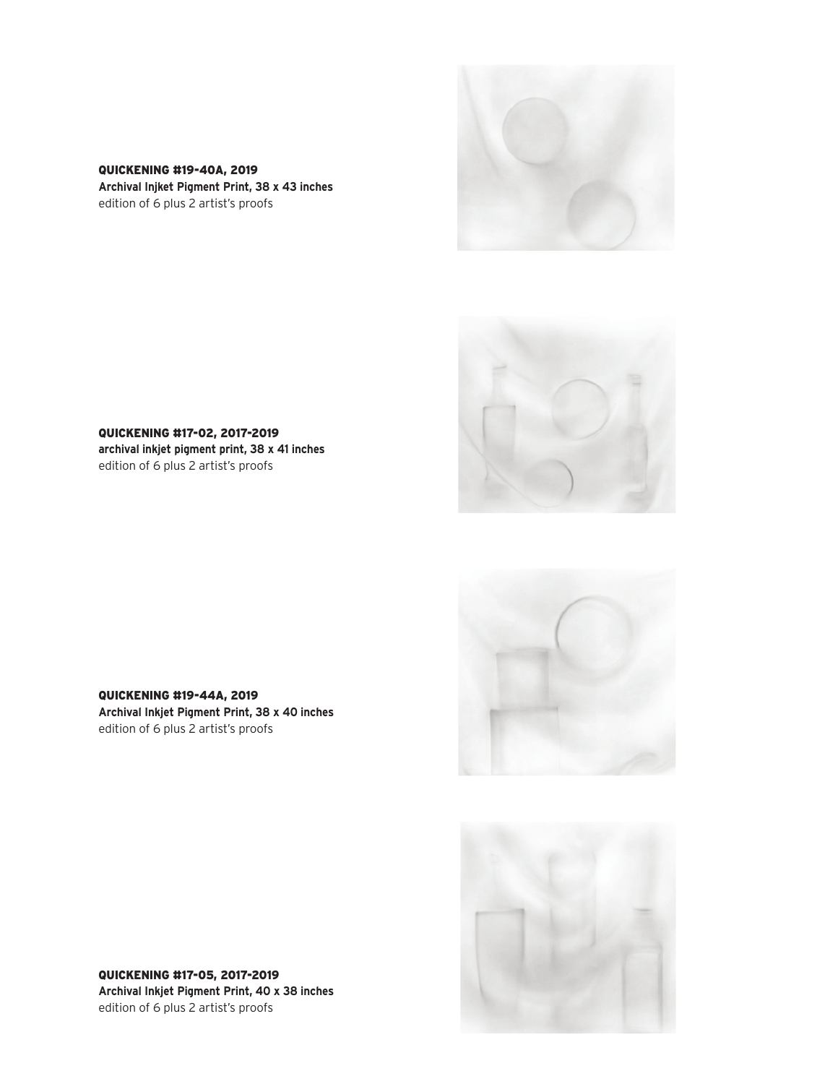





QUICKENING #17-02, 2017-2019 **archival inkjet pigment print, 38 x 41 inches** edition of 6 plus 2 artist's proofs





QUICKENING #19-44A, 2019 **Archival Inkjet Pigment Print, 38 x 40 inches** edition of 6 plus 2 artist's proofs

QUICKENING #17-05, 2017-2019 **Archival Inkjet Pigment Print, 40 x 38 inches** edition of 6 plus 2 artist's proofs